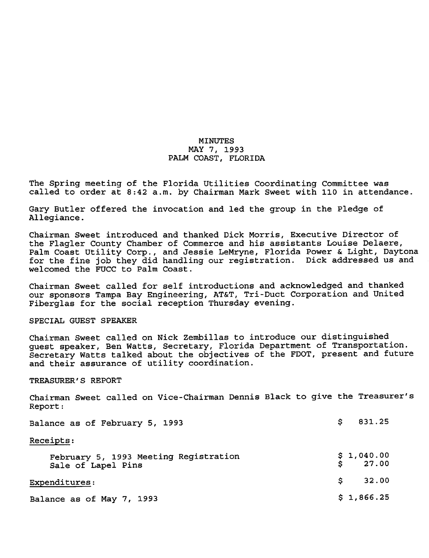# MINUTES MAY 7, 1993 PALM COAST, FLORIDA

The Spring meeting of the Florida Utilities Coordinating Committee was called to order at 8:42 a.m. by Chairman Mark Sweet with 110 in attendance.

Gary Butler offered the invocation and led the group in the Pledge of Allegiance.

Chairman Sweet introduced and thanked Dick Morris, Executive Director of the Flagler County Chamber of Commerce and his assistants Louise Delaere, Palm Coast Utility Corp., and Jessie LeMryne, Florida Power & Light, Daytona for the fine job they did handling our registration. Dick addressed us and welcomed the FUCC to Palm Coast.

Chairman Sweet called for self introductions and acknowledged and thanked our sponsors Tampa Bay Engineering, AT&T, Tri-Duct Corporation and United Fiberglas for the social reception Thursday evening.

### SPECIAL GUEST SPEAKER

Chairman Sweet called on Nick Zembillas to introduce our distinguished guest speaker, Ben Watts, Secretary, Florida Department of Transportation. Secretary Watts talked about the objectives of the FDOT, present and future and their assurance of utility coordination.

# TREASURER'S REPORT

Chairman Sweet called on Vice-Chairman Dennis Black to give the Treasurer's Report:

| Balance as of February 5, 1993                              | 831.25<br>S.          |
|-------------------------------------------------------------|-----------------------|
| Receipts:                                                   |                       |
| February 5, 1993 Meeting Registration<br>Sale of Lapel Pins | \$1,040.00<br>\$27.00 |
| Expenditures:                                               | \$32.00               |
| Balance as of May 7, 1993                                   | \$1,866.25            |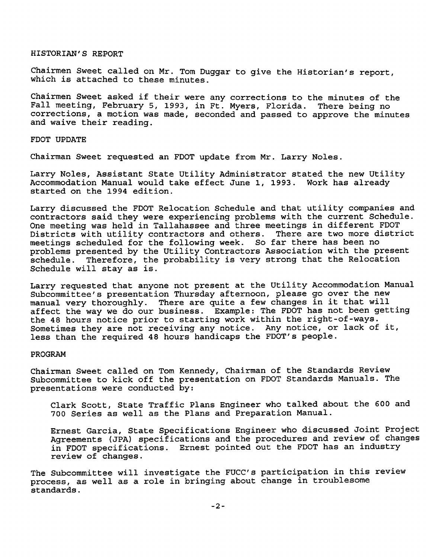### HISTORIAN'S REPORT

Chairmen Sweet called on Mr. Tom Duggar to give the Historian's report, which is attached to these minutes.

Chairmen Sweet asked if their were any corrections to the minutes of the Fall meeting, February 5, 1993, in Ft. Myers, Florida. There being no corrections, a motion was made, seconded and passed to approve the minutes and waive their reading.

FDOT UPDATE

Chairman Sweet requested an FDOT update from Mr. Larry Noles.

Larry Noles, Assistant State Utility Administrator stated the new Utility Accommodation Manual would take effect June 1, 1993. Work has already started on the 1994 edition.

Larry discussed the FDOT Relocation Schedule and that utility companies and contractors said they were experiencing problems with the current Schedule. One meeting was held in Tallahassee and three meetings in different FDOT Districts with utility contractors and others. There are two more district meetings scheduled for the following week. So far there has been no problems presented by the Utility Contractors Association with the present schedule. Therefore, the probability is very strong that the Relocation Schedule will stay as is.

Larry requested that anyone not present at the Utility Accommodation Manual Subcommittee's presentation Thursday afternoon, please go over the new manual very thoroughly. There are quite a few changes in it that will affect the way we do our business. Example: The FDOT has not been getting the 48 hours notice prior to starting work within the right-of-ways. Sometimes they are not receiving any notice. Any notice, or lack of it, less than the required 48 hours handicaps the FDOT's people.

# PROGRAM

Chairman Sweet called on Tom Kennedy, Chairman of the Standards Review Subcommittee to kick off the presentation on FDOT Standards Manuals. The presentations were conducted by:

Clark Scott, State Traffic Plans Engineer who talked about the 600 and 700 Series as well as the Plans and Preparation Manual.

Ernest Garcia, State Specifications Engineer who discussed Joint Project Agreements (JPA) specifications and the procedures and review of changes in FDOT specifications. Ernest pointed out the FDOT has an industry review of changes.

The Subcommittee will investigate the FUCC's participation in this review process, as well as a role in bringing about change in troublesome standards.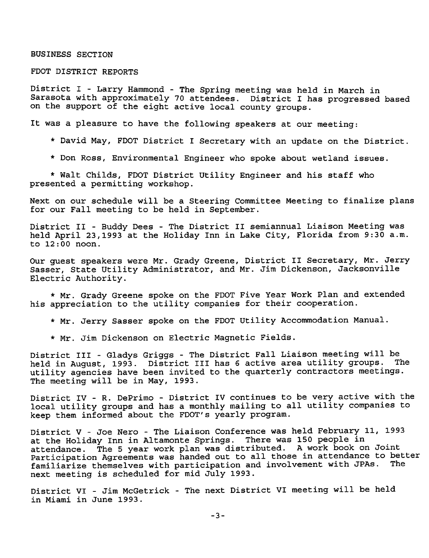#### BUSINESS SECTION

# FDOT DISTRICT REPORTS

District I - Larry Hammond - The Spring meeting was held in March in Sarasota with approximately 70 attendees. District I has progressed based on the support of the eight active local county groups.

It was a pleasure to have the following speakers at our meeting:

- \* David May, FDOT District I Secretary with an update on the District.
- \* Don Ross, Environmental Engineer who spoke about wetland issues.

\* Walt Childs, FDOT District Utility Engineer and his staff who presented a permitting workshop.

Next on our schedule will be a Steering Committee Meeting to finalize plans for our Fall meeting to be held in September.

District II - Buddy Dees - The District II semiannual Liaison Meeting was held April 23,1993 at the Holiday Inn in Lake City, Florida from 9:30 a.m. to 12:00 noon.

Our guest speakers were Mr. Grady Greene, District II Secretary, Mr. Jerry Sasser, State Utility Administrator, and Mr. Jim Dickenson, Jacksonville Electric Authority.

\* Mr. Grady Greene spoke on the FDOT Five Year Work Plan and extended his appreciation to the utility companies for their cooperation.

- \* Mr. Jerry Sasser spoke on the FDOT Utility Accommodation Manual.
- \* Mr. Jim Dickenson on Electric Magnetic Fields.

District III - Gladys Griggs - The District Fall Liaison meeting will be held in August, 1993. District III has 6 active area utility groups. utility agencies have been invited to the quarterly contractors meetings. The meeting will be in May, 1993.

District IV - R. DePrimo - District IV continues to be very active with the local utility groups and has a monthly mailing to all utility companies to keep them informed about the FDOT's yearly program.

District V - Joe Nero - The Liaison Conference was held February 11, 1993 at the Holiday Inn in Altamonte Springs. There was 150 people in<br>attendance. The 5 year work plan was distributed. A work book on The 5 year work plan was distributed. A work book on Joint Participation Agreements was handed out to all those in attendance to better<br>familiarize themselves with participation and involvement with JPAs. The familiarize themselves with participation and involvement with JPAs. next meeting is scheduled for mid July 1993.

District VI - Jim McGetrick - The next District VI meeting will be held in Miami in June 1993.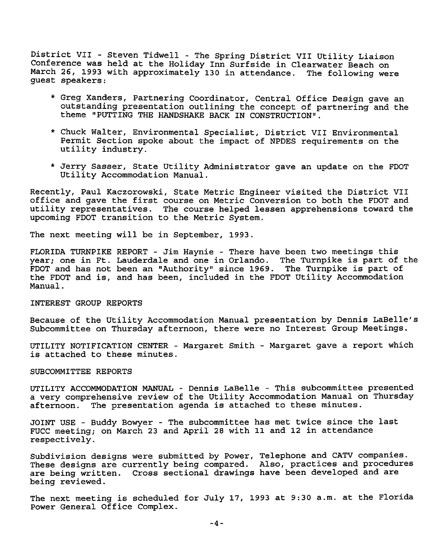District VII - Steven Tidwell - The Spring District VII Utility Liaison Conference was held at the Holiday Inn Surfside in Clearwater Beach on March 26, 1993 with approximately 130 in attendance. The following were guest speakers:

- \* Greg Xanders, Partnering Coordinator, Central Office Design gave an outstanding presentation outlining the concept of partnering and the theme "PUTTING THE HANDSHAKE BACK IN CONSTRUCTION".
- \* Chuck Walter, Environmental Specialist, District VII Environmental Permit Section spoke about the impact of NPDES requirements on the utility industry.
- \* Jerry Sasser, State Utility Administrator gave an update on the FDOT Utility Accommodation Manual.

Recently, Paul Kaczorowski, State Metric Engineer visited the District VII office and gave the first course on Metric Conversion to both the FDOT and utility representatives. The course helped lessen apprehensions toward the upcoming FDOT transition to the Metric System.

The next meeting will be in September, 1993.

FLORIDA TURNPIKE REPORT - Jim Haynie - There have been two meetings this year; one in Ft. Lauderdale and one in Orlando. The Turnpike is part of the FDOT and has not been an "Authority" since 1969. The Turnpike is part of the FDOT and is, and has been, included in the FDOT Utility Accommodation Manual.

# INTEREST GROUP REPORTS

Because of the Utility Accommodation Manual presentation by Dennis LaBelle's Subcommittee on Thursday afternoon, there were no Interest Group Meetings.

UTILITY NOTIFICATION CENTER - Margaret Smith - Margaret gave a report which is attached to these minutes.

### SUBCOMMITTEE REPORTS

UTILITY ACCOMMODATION MANUAL - Dennis LaBelle - This subcommittee presented a very comprehensive review of the Utility Accommodation Manual on Thursday<br>afternoon. The presentation agenda is attached to these minutes. The presentation agenda is attached to these minutes.

JOINT USE - Buddy Bowyer - The subcommittee has met twice since the last FUCC meeting; on March 23 and April 28 with 11 and 12 in attendance respectively.

Subdivision designs were submitted by Power, Telephone and CATV companies. These designs are currently being compared. Also, practices and procedures are being written. Cross sectional drawings have been developed and are being reviewed.

The next meeting is scheduled for July 17, 1993 at 9:30 a.m. at the Florida Power General Office Complex.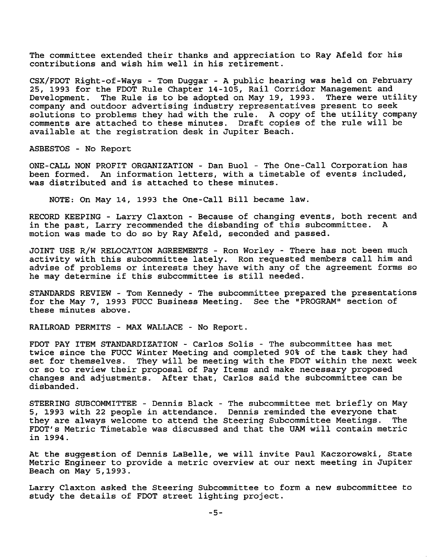The committee extended their thanks and appreciation to Ray Afeld for his contributions and wish him well in his retirement.

CSX/FDOT Right-of-Ways - Tom Duggar - A public hearing was held on February 25, 1993 for the FDOT Rule Chapter 14-105, Rail Corridor Management and Development. The Rule is to be adopted on May 19, 1993. There were utility company and outdoor advertising industry representatives present to seek solutions to problems they had with the rule. A copy of the utility company comments are attached to these minutes. Draft copies of the rule will be available at the registration desk in Jupiter Beach.

ASBESTOS - No Report

ONE-CALL NON PROFIT ORGANIZATION - Dan Buol - The One-Call Corporation has been formed. An information letters, with a timetable of events included, was distributed and is attached to these minutes.

NOTE: On May 14, 1993 the One-Call Bill became law.

RECORD KEEPING - Larry Claxton - Because of changing events, both recent and in the past, Larry recommended the disbanding of this subcommittee. A motion was made to do so by Ray Afeld, seconded and passed.

JOINT USE R/W RELOCATION AGREEMENTS - Ron Worley - There has not been much activity with this subcommittee lately. Ron requested members call him and advise of problems or interests they have with any of the agreement forms so he may determine if this subcommittee is still needed.

STANDARDS REVIEW - Tom Kennedy - The subcommittee prepared the presentations for the May 7, 1993 FUCC Business Meeting. See the "PROGRAM" section of these minutes above.

RAILROAD PERMITS - MAX WALLACE - No Report.

FDOT PAY ITEM STANDARDIZATION - Carlos Solis - The subcommittee has met twice since the FUCC Winter Meeting and completed 90% of the task they had set for themselves. They will be meeting with the FDOT within the next week or so to review their proposal of Pay Items and make necessary proposed changes and adjustments. After that, Carlos said the subcommittee can be disbanded.

STEERING SUBCOMMITTEE - Dennis Black - The subcommittee met briefly on May 5, 1993 with 22 people in attendance. Dennis reminded the everyone that they are always welcome to attend the Steering Subcommittee Meetings. The FDOT's Metric Timetable was discussed and that the UAM will contain metric in 1994.

At the suggestion of Dennis LaBelle, we will invite Paul Kaczorowski, State Metric Engineer to provide a metric overview at our next meeting in Jupiter Beach on May 5,1993.

Larry Claxton asked the Steering Subcommittee to form a new subcommittee to study the details of FDOT street lighting project.